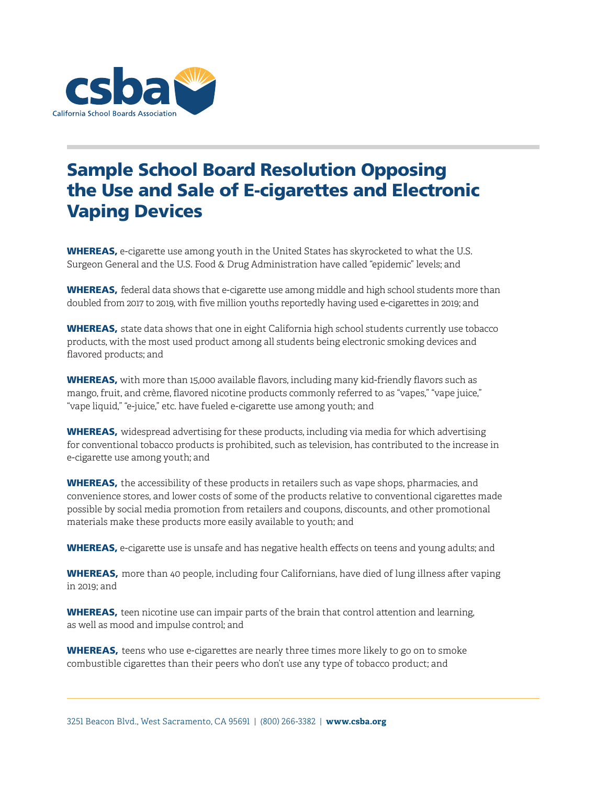

## Sample School Board Resolution Opposing the Use and Sale of E-cigarettes and Electronic Vaping Devices

**WHEREAS,** e-cigarette use among youth in the United States has skyrocketed to what the U.S. Surgeon General and the U.S. Food & Drug Administration have called "epidemic" levels; and

WHEREAS, federal data shows that e-cigarette use among middle and high school students more than doubled from 2017 to 2019, with five million youths reportedly having used e-cigarettes in 2019; and

WHEREAS, state data shows that one in eight California high school students currently use tobacco products, with the most used product among all students being electronic smoking devices and flavored products; and

WHEREAS, with more than 15,000 available flavors, including many kid-friendly flavors such as mango, fruit, and crème, flavored nicotine products commonly referred to as "vapes," "vape juice," "vape liquid," "e-juice," etc. have fueled e-cigarette use among youth; and

WHEREAS, widespread advertising for these products, including via media for which advertising for conventional tobacco products is prohibited, such as television, has contributed to the increase in e-cigarette use among youth; and

**WHEREAS,** the accessibility of these products in retailers such as vape shops, pharmacies, and convenience stores, and lower costs of some of the products relative to conventional cigarettes made possible by social media promotion from retailers and coupons, discounts, and other promotional materials make these products more easily available to youth; and

WHEREAS, e-cigarette use is unsafe and has negative health effects on teens and young adults; and

WHEREAS, more than 40 people, including four Californians, have died of lung illness after vaping in 2019; and

WHEREAS, teen nicotine use can impair parts of the brain that control attention and learning, as well as mood and impulse control; and

**WHEREAS,** teens who use e-cigarettes are nearly three times more likely to go on to smoke combustible cigarettes than their peers who don't use any type of tobacco product; and